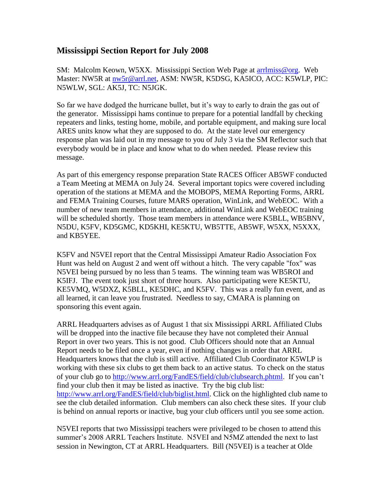## **Mississippi Section Report for July 2008**

SM: Malcolm Keown, W5XX. Mississippi Section Web Page at arrilmiss@org. Web Master: NW5R at [nw5r@arrl.net,](mailto:nw5r@arrl.net) ASM: NW5R, K5DSG, KA5ICO, ACC: K5WLP, PIC: N5WLW, SGL: AK5J, TC: N5JGK.

So far we have dodged the hurricane bullet, but it's way to early to drain the gas out of the generator. Mississippi hams continue to prepare for a potential landfall by checking repeaters and links, testing home, mobile, and portable equipment, and making sure local ARES units know what they are supposed to do. At the state level our emergency response plan was laid out in my message to you of July 3 via the SM Reflector such that everybody would be in place and know what to do when needed. Please review this message.

As part of this emergency response preparation State RACES Officer AB5WF conducted a Team Meeting at MEMA on July 24. Several important topics were covered including operation of the stations at MEMA and the MOBOPS, MEMA Reporting Forms, ARRL and FEMA Training Courses, future MARS operation, WinLink, and WebEOC. With a number of new team members in attendance, additional WinLink and WebEOC training will be scheduled shortly. Those team members in attendance were K5BLL, WB5BNV, N5DU, K5FV, KD5GMC, KD5KHI, KE5KTU, WB5TTE, AB5WF, W5XX, N5XXX, and KB5YEE.

K5FV and N5VEI report that the Central Mississippi Amateur Radio Association Fox Hunt was held on August 2 and went off without a hitch. The very capable "fox" was N5VEI being pursued by no less than 5 teams. The winning team was WB5ROI and K5IFJ. The event took just short of three hours. Also participating were KE5KTU, KE5VMQ, W5DXZ, K5BLL, KE5DHC, and K5FV. This was a really fun event, and as all learned, it can leave you frustrated. Needless to say, CMARA is planning on sponsoring this event again.

ARRL Headquarters advises as of August 1 that six Mississippi ARRL Affiliated Clubs will be dropped into the inactive file because they have not completed their Annual Report in over two years. This is not good. Club Officers should note that an Annual Report needs to be filed once a year, even if nothing changes in order that ARRL Headquarters knows that the club is still active. Affiliated Club Coordinator K5WLP is working with these six clubs to get them back to an active status. To check on the status of your club go to [http://www.arrl.org/FandES/field/club/clubsearch.phtml.](http://www.arrl.org/FandES/field/club/clubsearch.phtml) If you can't find your club then it may be listed as inactive. Try the big club list: [http://www.arrl.org/FandES/field/club/biglist.html.](http://www.arrl.org/FandES/field/club/biglist.html) Click on the highlighted club name to see the club detailed information. Club members can also check these sites. If your club is behind on annual reports or inactive, bug your club officers until you see some action.

N5VEI reports that two Mississippi teachers were privileged to be chosen to attend this summer's 2008 ARRL Teachers Institute. N5VEI and N5MZ attended the next to last session in Newington, CT at ARRL Headquarters. Bill (N5VEI) is a teacher at Olde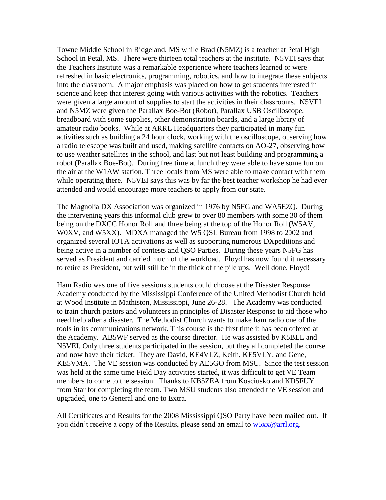Towne Middle School in Ridgeland, MS while Brad (N5MZ) is a teacher at Petal High School in Petal, MS. There were thirteen total teachers at the institute. N5VEI says that the Teachers Institute was a remarkable experience where teachers learned or were refreshed in basic electronics, programming, robotics, and how to integrate these subjects into the classroom. A major emphasis was placed on how to get students interested in science and keep that interest going with various activities with the robotics. Teachers were given a large amount of supplies to start the activities in their classrooms. N5VEI and N5MZ were given the Parallax Boe-Bot (Robot), Parallax USB Oscilloscope, breadboard with some supplies, other demonstration boards, and a large library of amateur radio books. While at ARRL Headquarters they participated in many fun activities such as building a 24 hour clock, working with the oscilloscope, observing how a radio telescope was built and used, making satellite contacts on AO-27, observing how to use weather satellites in the school, and last but not least building and programming a robot (Parallax Boe-Bot). During free time at lunch they were able to have some fun on the air at the W1AW station. Three locals from MS were able to make contact with them while operating there. N5VEI says this was by far the best teacher workshop he had ever attended and would encourage more teachers to apply from our state.

The Magnolia DX Association was organized in 1976 by N5FG and WA5EZQ. During the intervening years this informal club grew to over 80 members with some 30 of them being on the DXCC Honor Roll and three being at the top of the Honor Roll (W5AV, W0XV, and W5XX). MDXA managed the W5 QSL Bureau from 1998 to 2002 and organized several IOTA activations as well as supporting numerous DXpeditions and being active in a number of contests and QSO Parties. During these years N5FG has served as President and carried much of the workload. Floyd has now found it necessary to retire as President, but will still be in the thick of the pile ups. Well done, Floyd!

Ham Radio was one of five sessions students could choose at the Disaster Response Academy conducted by the Mississippi Conference of the United Methodist Church held at Wood Institute in Mathiston, Mississippi, June 26-28. The Academy was conducted to train church pastors and volunteers in principles of Disaster Response to aid those who need help after a disaster. The Methodist Church wants to make ham radio one of the tools in its communications network. This course is the first time it has been offered at the Academy. AB5WF served as the course director. He was assisted by K5BLL and N5VEI. Only three students participated in the session, but they all completed the course and now have their ticket. They are David, KE4VLZ, Keith, KE5VLY, and Gene, KE5VMA. The VE session was conducted by AE5GO from MSU. Since the test session was held at the same time Field Day activities started, it was difficult to get VE Team members to come to the session. Thanks to KB5ZEA from Kosciusko and KD5FUY from Star for completing the team. Two MSU students also attended the VE session and upgraded, one to General and one to Extra.

All Certificates and Results for the 2008 Mississippi QSO Party have been mailed out. If you didn't receive a copy of the Results, please send an email to  $w5xx@arrl.org$ .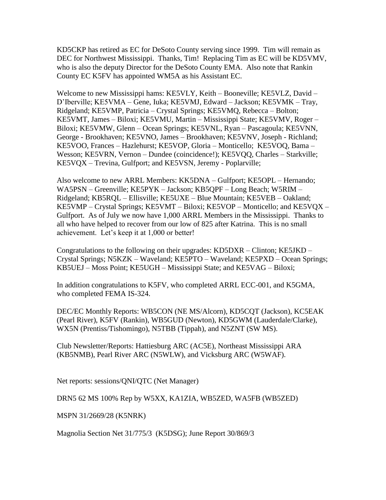KD5CKP has retired as EC for DeSoto County serving since 1999. Tim will remain as DEC for Northwest Mississippi. Thanks, Tim! Replacing Tim as EC will be KD5VMV, who is also the deputy Director for the DeSoto County EMA. Also note that Rankin County EC K5FV has appointed WM5A as his Assistant EC.

Welcome to new Mississippi hams: KE5VLY, Keith – Booneville; KE5VLZ, David – D'Iberville; KE5VMA – Gene, Iuka; KE5VMJ, Edward – Jackson; KE5VMK – Tray, Ridgeland; KE5VMP, Patricia – Crystal Springs; KE5VMQ, Rebecca – Bolton; KE5VMT, James – Biloxi; KE5VMU, Martin – Mississippi State; KE5VMV, Roger – Biloxi; KE5VMW, Glenn – Ocean Springs; KE5VNL, Ryan – Pascagoula; KE5VNN, George - Brookhaven; KE5VNO, James – Brookhaven; KE5VNV, Joseph - Richland; KE5VOO, Frances – Hazlehurst; KE5VOP, Gloria – Monticello; KE5VOQ, Bama – Wesson; KE5VRN, Vernon – Dundee (coincidence!); KE5VOO, Charles – Starkville; KE5VQX – Trevina, Gulfport; and KE5VSN, Jeremy - Poplarville;

Also welcome to new ARRL Members: KK5DNA – Gulfport; KE5OPL – Hernando; WA5PSN – Greenville; KE5PYK – Jackson; KB5QPF – Long Beach; W5RIM – Ridgeland; KB5RQL – Ellisville; KE5UXE – Blue Mountain; KE5VEB – Oakland; KE5VMP – Crystal Springs; KE5VMT – Biloxi; KE5VOP – Monticello; and KE5VQX – Gulfport. As of July we now have 1,000 ARRL Members in the Mississippi. Thanks to all who have helped to recover from our low of 825 after Katrina. This is no small achievement. Let's keep it at 1,000 or better!

Congratulations to the following on their upgrades: KD5DXR – Clinton; KE5JKD – Crystal Springs; N5KZK – Waveland; KE5PTO – Waveland; KE5PXD – Ocean Springs; KB5UEJ – Moss Point; KE5UGH – Mississippi State; and KE5VAG – Biloxi;

In addition congratulations to K5FV, who completed ARRL ECC-001, and K5GMA, who completed FEMA IS-324.

DEC/EC Monthly Reports: WB5CON (NE MS/Alcorn), KD5CQT (Jackson), KC5EAK (Pearl River), K5FV (Rankin), WB5GUD (Newton), KD5GWM (Lauderdale/Clarke), WX5N (Prentiss/Tishomingo), N5TBB (Tippah), and N5ZNT (SW MS).

Club Newsletter/Reports: Hattiesburg ARC (AC5E), Northeast Mississippi ARA (KB5NMB), Pearl River ARC (N5WLW), and Vicksburg ARC (W5WAF).

Net reports: sessions/QNI/QTC (Net Manager)

DRN5 62 MS 100% Rep by W5XX, KA1ZIA, WB5ZED, WA5FB (WB5ZED)

MSPN 31/2669/28 (K5NRK)

Magnolia Section Net 31/775/3 (K5DSG); June Report 30/869/3